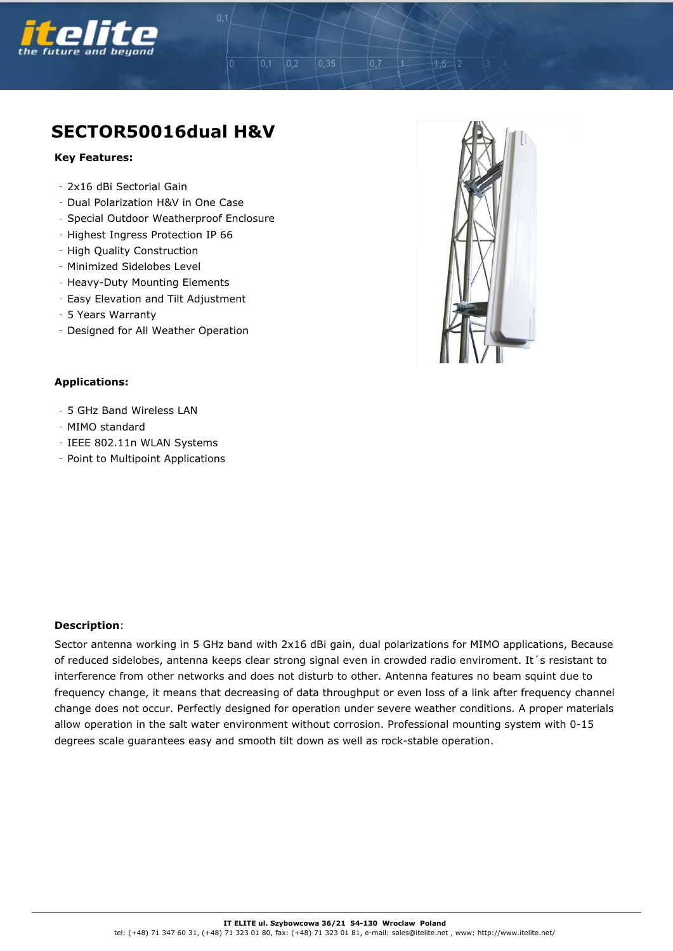

## **SECTOR50016dual H&V**

 $0,2$ 

 $0.35$ 

## **Key Features:**

- 2x16 dBi Sectorial Gain
- Dual Polarization H&V in One Case
- Special Outdoor Weatherproof Enclosure
- Highest Ingress Protection IP 66
- High Quality Construction
- Minimized Sidelobes Level
- Heavy-Duty Mounting Elements
- Easy Elevation and Tilt Adjustment
- 5 Years Warranty
- Designed for All Weather Operation

## **Applications:**

- 5 GHz Band Wireless LAN
- MIMO standard
- IEEE 802.11n WLAN Systems
- Point to Multipoint Applications



 $+5$ 

## **Description**:

Sector antenna working in 5 GHz band with 2x16 dBi gain, dual polarizations for MIMO applications, Because of reduced sidelobes, antenna keeps clear strong signal even in crowded radio enviroment. It´s resistant to interference from other networks and does not disturb to other. Antenna features no beam squint due to frequency change, it means that decreasing of data throughput or even loss of a link after frequency channel change does not occur. Perfectly designed for operation under severe weather conditions. A proper materials allow operation in the salt water environment without corrosion. Professional mounting system with 0-15 degrees scale guarantees easy and smooth tilt down as well as rock-stable operation.